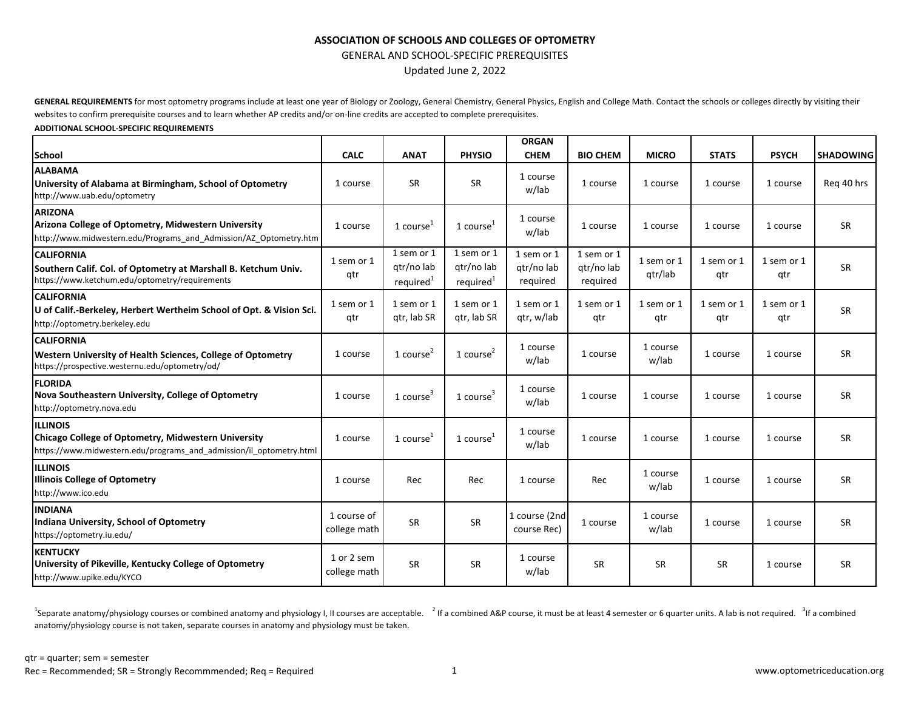## **ASSOCIATION OF SCHOOLS AND COLLEGES OF OPTOMETRY**

GENERAL AND SCHOOL-SPECIFIC PREREQUISITES

Updated June 2, 2022

GENERAL REQUIREMENTS for most optometry programs include at least one year of Biology or Zoology, General Chemistry, General Physics, English and College Math. Contact the schools or colleges directly by visiting their websites to confirm prerequisite courses and to learn whether AP credits and/or on-line credits are accepted to complete prerequisites.

#### **ADDITIONAL SCHOOL-SPECIFIC REQUIREMENTS**

|                                                                                                                                               |                             |                                                   |                                                   | <b>ORGAN</b>                         |                                      |                       |                   |                   |                  |
|-----------------------------------------------------------------------------------------------------------------------------------------------|-----------------------------|---------------------------------------------------|---------------------------------------------------|--------------------------------------|--------------------------------------|-----------------------|-------------------|-------------------|------------------|
| <b>School</b>                                                                                                                                 | <b>CALC</b>                 | <b>ANAT</b>                                       | <b>PHYSIO</b>                                     | <b>CHEM</b>                          | <b>BIO CHEM</b>                      | <b>MICRO</b>          | <b>STATS</b>      | <b>PSYCH</b>      | <b>SHADOWING</b> |
| <b>ALABAMA</b><br>University of Alabama at Birmingham, School of Optometry<br>http://www.uab.edu/optometry                                    | 1 course                    | <b>SR</b>                                         | <b>SR</b>                                         | 1 course<br>w/lab                    | 1 course                             | 1 course              | 1 course          | 1 course          | Reg 40 hrs       |
| <b>ARIZONA</b><br>Arizona College of Optometry, Midwestern University<br>http://www.midwestern.edu/Programs and Admission/AZ Optometry.htm    | 1 course                    | 1 course <sup>1</sup>                             | 1 $course1$                                       | 1 course<br>w/lab                    | 1 course                             | 1 course              | 1 course          | 1 course          | <b>SR</b>        |
| <b>CALIFORNIA</b><br>Southern Calif. Col. of Optometry at Marshall B. Ketchum Univ.<br>https://www.ketchum.edu/optometry/requirements         | 1 sem or 1<br>qtr           | 1 sem or 1<br>qtr/no lab<br>required <sup>1</sup> | 1 sem or 1<br>qtr/no lab<br>required <sup>1</sup> | 1 sem or 1<br>gtr/no lab<br>required | 1 sem or 1<br>gtr/no lab<br>required | 1 sem or 1<br>qtr/lab | 1 sem or 1<br>qtr | 1 sem or 1<br>qtr | <b>SR</b>        |
| <b>CALIFORNIA</b><br>U of Calif.-Berkeley, Herbert Wertheim School of Opt. & Vision Sci.<br>http://optometry.berkeley.edu                     | 1 sem or 1<br>qtr           | 1 sem or 1<br>gtr, lab SR                         | 1 sem or 1<br>gtr, lab SR                         | 1 sem or 1<br>gtr, w/lab             | 1 sem or 1<br>qtr                    | 1 sem or 1<br>qtr     | 1 sem or 1<br>qtr | 1 sem or 1<br>qtr | <b>SR</b>        |
| <b>CALIFORNIA</b><br>Western University of Health Sciences, College of Optometry<br>https://prospective.westernu.edu/optometry/od/            | 1 course                    | 1 course $2$                                      | $1$ course <sup>2</sup>                           | 1 course<br>w/lab                    | 1 course                             | 1 course<br>w/lab     | 1 course          | 1 course          | <b>SR</b>        |
| <b>FLORIDA</b><br>Nova Southeastern University, College of Optometry<br>http://optometry.nova.edu                                             | 1 course                    | 1 course $3$                                      | $1$ course <sup>3</sup>                           | 1 course<br>w/lab                    | 1 course                             | 1 course              | 1 course          | 1 course          | <b>SR</b>        |
| <b>ILLINOIS</b><br>Chicago College of Optometry, Midwestern University<br>https://www.midwestern.edu/programs and admission/il optometry.html | 1 course                    | 1 course $1$                                      | 1 $course1$                                       | 1 course<br>w/lab                    | 1 course                             | 1 course              | 1 course          | 1 course          | <b>SR</b>        |
| <b>ILLINOIS</b><br><b>Illinois College of Optometry</b><br>http://www.ico.edu                                                                 | 1 course                    | Rec                                               | Rec                                               | 1 course                             | Rec                                  | 1 course<br>w/lab     | 1 course          | 1 course          | <b>SR</b>        |
| <b>INDIANA</b><br>Indiana University, School of Optometry<br>https://optometry.iu.edu/                                                        | 1 course of<br>college math | <b>SR</b>                                         | <b>SR</b>                                         | 1 course (2nd<br>course Rec)         | 1 course                             | 1 course<br>w/lab     | 1 course          | 1 course          | <b>SR</b>        |
| <b>KENTUCKY</b><br>University of Pikeville, Kentucky College of Optometry<br>http://www.upike.edu/KYCO                                        | 1 or 2 sem<br>college math  | <b>SR</b>                                         | <b>SR</b>                                         | 1 course<br>w/lab                    | <b>SR</b>                            | <b>SR</b>             | SR                | 1 course          | <b>SR</b>        |

<sup>1</sup>Separate anatomy/physiology courses or combined anatomy and physiology I, II courses are acceptable. <sup>2</sup> If a combined A&P course, it must be at least 4 semester or 6 quarter units. A lab is not required. <sup>3</sup> If a combi anatomy/physiology course is not taken, separate courses in anatomy and physiology must be taken.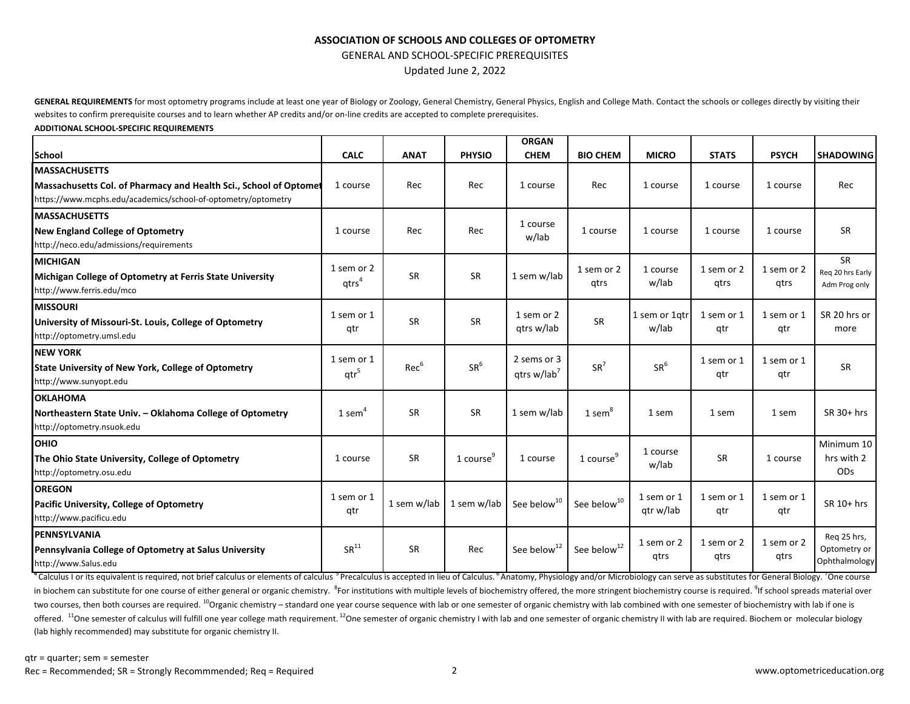## **ASSOCIATION OF SCHOOLS AND COLLEGES OF OPTOMETRY**

GENERAL AND SCHOOL-SPECIFIC PREREQUISITES

Updated June 2, 2022

GENERAL REQUIREMENTS for most optometry programs include at least one year of Biology or Zoology, General Chemistry, General Physics, English and College Math. Contact the schools or colleges directly by visiting their websites to confirm prerequisite courses and to learn whether AP credits and/or on-line credits are accepted to complete prerequisites.

#### **ADDITIONAL SCHOOL-SPECIFIC REQUIREMENTS**

|                                                                   |                      |             |                       | <b>ORGAN</b>            |                         |                        |              |              |                  |
|-------------------------------------------------------------------|----------------------|-------------|-----------------------|-------------------------|-------------------------|------------------------|--------------|--------------|------------------|
| School                                                            | <b>CALC</b>          | <b>ANAT</b> | <b>PHYSIO</b>         | <b>CHEM</b>             | <b>BIO CHEM</b>         | <b>MICRO</b>           | <b>STATS</b> | <b>PSYCH</b> | <b>SHADOWING</b> |
| <b>IMASSACHUSETTS</b>                                             |                      |             |                       |                         |                         |                        |              |              |                  |
| Massachusetts Col. of Pharmacy and Health Sci., School of Optomet | 1 course             | Rec         | Rec                   | 1 course                | Rec                     | 1 course               | 1 course     | 1 course     | Rec              |
| https://www.mcphs.edu/academics/school-of-optometry/optometry     |                      |             |                       |                         |                         |                        |              |              |                  |
| <b>IMASSACHUSETTS</b>                                             |                      |             |                       | 1 course                |                         |                        |              |              |                  |
| New England College of Optometry                                  | 1 course             | Rec         | Rec                   | w/lab                   | 1 course                | 1 course               | 1 course     | 1 course     | <b>SR</b>        |
| http://neco.edu/admissions/requirements                           |                      |             |                       |                         |                         |                        |              |              |                  |
| <b>IMICHIGAN</b>                                                  | 1 sem or 2           |             |                       |                         | 1 sem or 2              | 1 course               | 1 sem or 2   | 1 sem or 2   | <b>SR</b>        |
| Michigan College of Optometry at Ferris State University          | $q$ trs <sup>4</sup> | <b>SR</b>   | <b>SR</b>             | 1 sem w/lab             | qtrs                    | w/lab                  | gtrs         | qtrs         | Reg 20 hrs Early |
| http://www.ferris.edu/mco                                         |                      |             |                       |                         |                         |                        |              |              | Adm Prog only    |
| <b>MISSOURI</b>                                                   | 1 sem or 1           |             |                       | 1 sem or 2              |                         |                        | 1 sem or 1   | 1 sem or 1   | SR 20 hrs or     |
| University of Missouri-St. Louis, College of Optometry            | qtr                  | <b>SR</b>   | <b>SR</b>             | gtrs w/lab              | SR                      | 1 sem or 1gtr<br>w/lab | qtr          | qtr          | more             |
| http://optometry.umsl.edu                                         |                      |             |                       |                         |                         |                        |              |              |                  |
| <b>INEW YORK</b>                                                  | 1 sem or 1           |             |                       | 2 sems or 3             |                         |                        | 1 sem or 1   | 1 sem or 1   |                  |
| <b>State University of New York, College of Optometry</b>         | qtr <sup>5</sup>     | $Rec^6$     | SR <sup>6</sup>       | qtrs w/lab <sup>7</sup> | $SR^7$                  | SR <sup>6</sup>        | qtr          | qtr          | <b>SR</b>        |
| http://www.sunyopt.edu                                            |                      |             |                       |                         |                         |                        |              |              |                  |
| <b>OKLAHOMA</b>                                                   |                      |             |                       |                         |                         |                        |              |              |                  |
| Northeastern State Univ. - Oklahoma College of Optometry          | $1$ sem <sup>4</sup> | <b>SR</b>   | <b>SR</b>             | 1 sem w/lab             | 1 sem <sup>8</sup>      | 1 sem                  | 1 sem        | 1 sem        | $SR$ 30+ hrs     |
| http://optometry.nsuok.edu                                        |                      |             |                       |                         |                         |                        |              |              |                  |
| <b>OHIO</b>                                                       |                      |             |                       |                         |                         | 1 course               |              |              | Minimum 10       |
| The Ohio State University, College of Optometry                   | 1 course             | SR          | 1 course <sup>9</sup> | 1 course                | 1 course $9$            | w/lab                  | <b>SR</b>    | 1 course     | hrs with 2       |
| http://optometry.osu.edu                                          |                      |             |                       |                         |                         |                        |              |              | <b>ODs</b>       |
| <b>OREGON</b>                                                     | 1 sem or 1           |             |                       |                         |                         | 1 sem or 1             | 1 sem or 1   | 1 sem or 1   |                  |
| Pacific University, College of Optometry                          | qtr                  | 1 sem w/lab | 1 sem w/lab           | See below <sup>10</sup> | See below <sup>10</sup> | gtr w/lab              | qtr          | qtr          | SR 10+ hrs       |
| http://www.pacificu.edu                                           |                      |             |                       |                         |                         |                        |              |              |                  |
| <b>IPENNSYLVANIA</b>                                              |                      |             |                       |                         |                         | 1 sem or 2             | 1 sem or 2   | 1 sem or 2   | Reg 25 hrs,      |
| Pennsylvania College of Optometry at Salus University             | SR <sup>11</sup>     | <b>SR</b>   | Rec                   | See below <sup>12</sup> | See below <sup>12</sup> | qtrs                   | qtrs         | qtrs         | Optometry or     |
| http://www.Salus.edu                                              |                      |             |                       |                         |                         |                        |              |              | Ophthalmology    |

"Calculus I or its equivalent is required, not brief calculus or elements of calculus <sup>5</sup> Precalculus is accepted in lieu of Calculus. <sup>8</sup> Anatomy, Physiology and/or Microbiology can serve as substitutes for General Biolog in biochem can substitute for one course of either general or organic chemistry. <sup>8</sup>For institutions with multiple levels of biochemistry offered, the more stringent biochemistry course is required. <sup>9</sup>If school spreads ma two courses, then both courses are required. <sup>10</sup>Organic chemistry – standard one year course sequence with lab or one semester of organic chemistry with lab combined with one semester of biochemistry with lab if one is offered. <sup>11</sup>One semester of calculus will fulfill one year college math requirement. <sup>12</sup>One semester of organic chemistry I with lab and one semester of organic chemistry II with lab are required. Biochem or molecular b (lab highly recommended) may substitute for organic chemistry II.